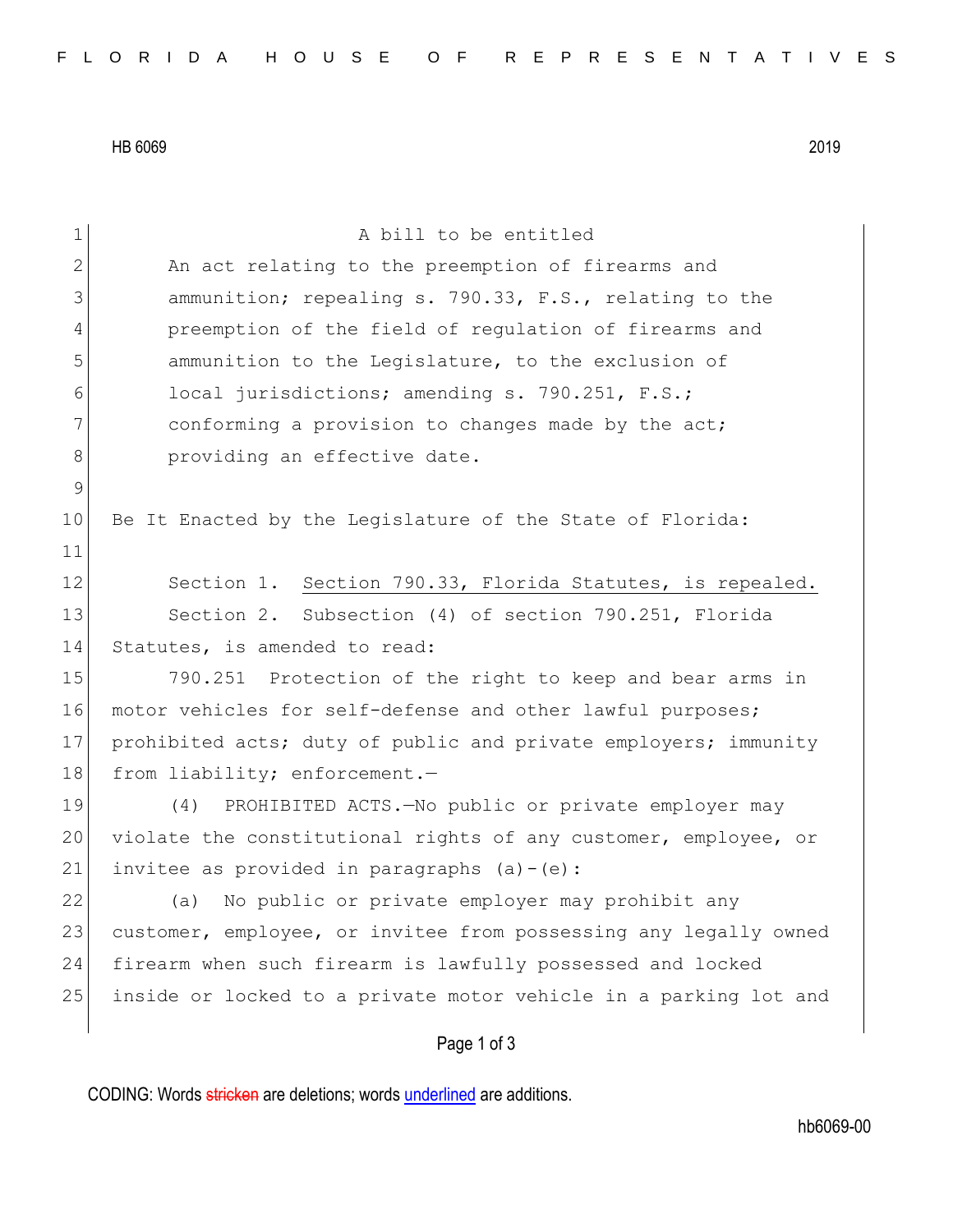HB 6069 2019

| $\mathbf 1$ | A bill to be entitled                                            |
|-------------|------------------------------------------------------------------|
| 2           | An act relating to the preemption of firearms and                |
| 3           | ammunition; repealing s. 790.33, F.S., relating to the           |
| 4           | preemption of the field of regulation of firearms and            |
| 5           | ammunition to the Legislature, to the exclusion of               |
| 6           | local jurisdictions; amending s. 790.251, F.S.;                  |
| 7           | conforming a provision to changes made by the act;               |
| 8           | providing an effective date.                                     |
| 9           |                                                                  |
| 10          | Be It Enacted by the Legislature of the State of Florida:        |
| 11          |                                                                  |
| 12          | Section 1. Section 790.33, Florida Statutes, is repealed.        |
| 13          | Section 2. Subsection (4) of section 790.251, Florida            |
| 14          | Statutes, is amended to read:                                    |
| 15          | 790.251 Protection of the right to keep and bear arms in         |
| 16          | motor vehicles for self-defense and other lawful purposes;       |
| 17          | prohibited acts; duty of public and private employers; immunity  |
| 18          | from liability; enforcement.-                                    |
| 19          | PROHIBITED ACTS. - No public or private employer may<br>(4)      |
| 20          | violate the constitutional rights of any customer, employee, or  |
| 21          | invitee as provided in paragraphs $(a) - (e)$ :                  |
| 22          | No public or private employer may prohibit any<br>(a)            |
| 23          | customer, employee, or invitee from possessing any legally owned |
| 24          | firearm when such firearm is lawfully possessed and locked       |
| 25          | inside or locked to a private motor vehicle in a parking lot and |
|             | Page 1 of 3                                                      |

CODING: Words stricken are deletions; words underlined are additions.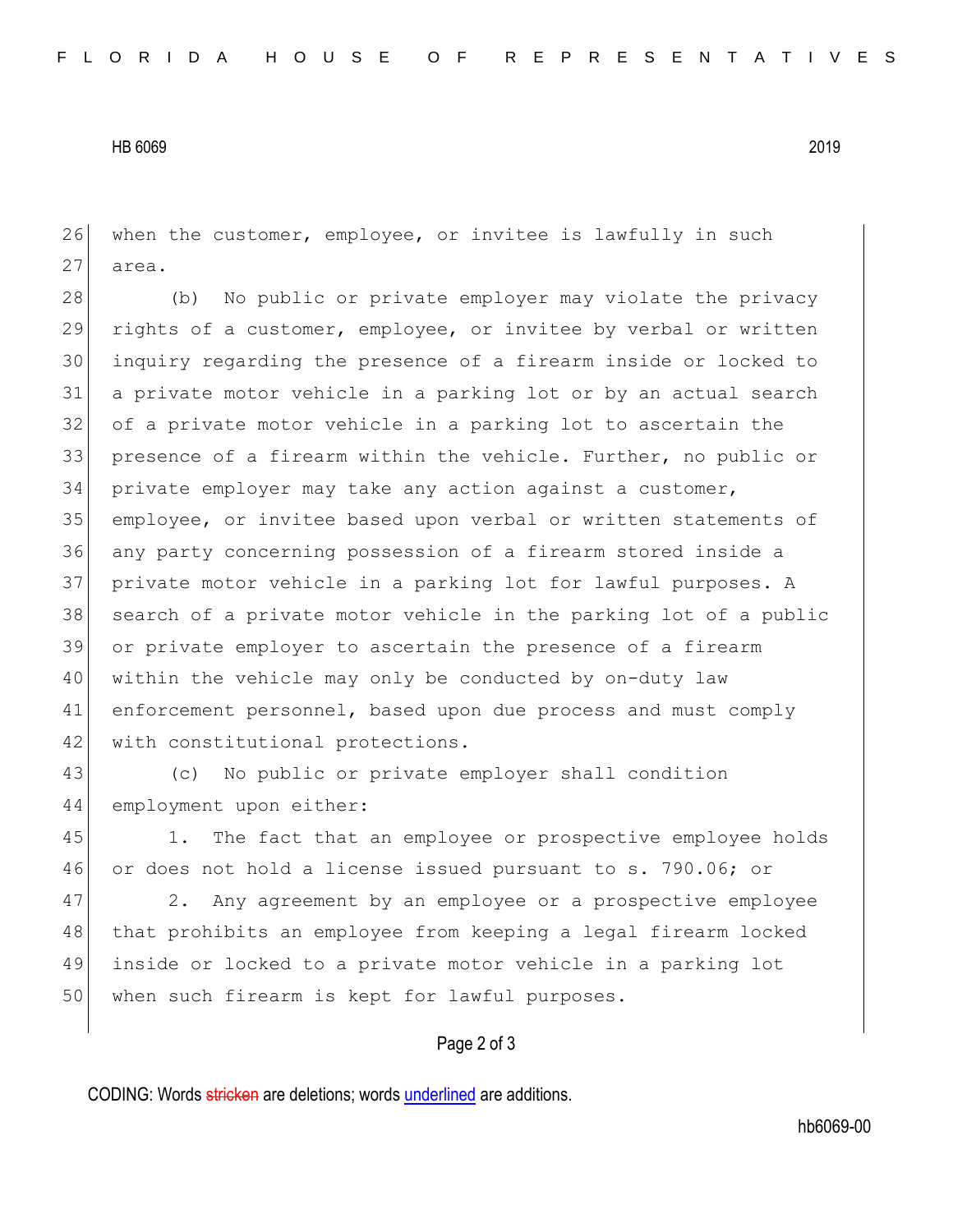## HB 6069 2019

26 when the customer, employee, or invitee is lawfully in such 27 area.

28 (b) No public or private employer may violate the privacy rights of a customer, employee, or invitee by verbal or written inquiry regarding the presence of a firearm inside or locked to a private motor vehicle in a parking lot or by an actual search 32 of a private motor vehicle in a parking lot to ascertain the presence of a firearm within the vehicle. Further, no public or private employer may take any action against a customer, employee, or invitee based upon verbal or written statements of any party concerning possession of a firearm stored inside a private motor vehicle in a parking lot for lawful purposes. A 38 search of a private motor vehicle in the parking lot of a public or private employer to ascertain the presence of a firearm within the vehicle may only be conducted by on-duty law enforcement personnel, based upon due process and must comply 42 with constitutional protections.

43 (c) No public or private employer shall condition 44 employment upon either:

45 1. The fact that an employee or prospective employee holds 46 or does not hold a license issued pursuant to s. 790.06; or

47 2. Any agreement by an employee or a prospective employee 48 that prohibits an employee from keeping a legal firearm locked 49 inside or locked to a private motor vehicle in a parking lot 50 when such firearm is kept for lawful purposes.

## Page 2 of 3

CODING: Words stricken are deletions; words underlined are additions.